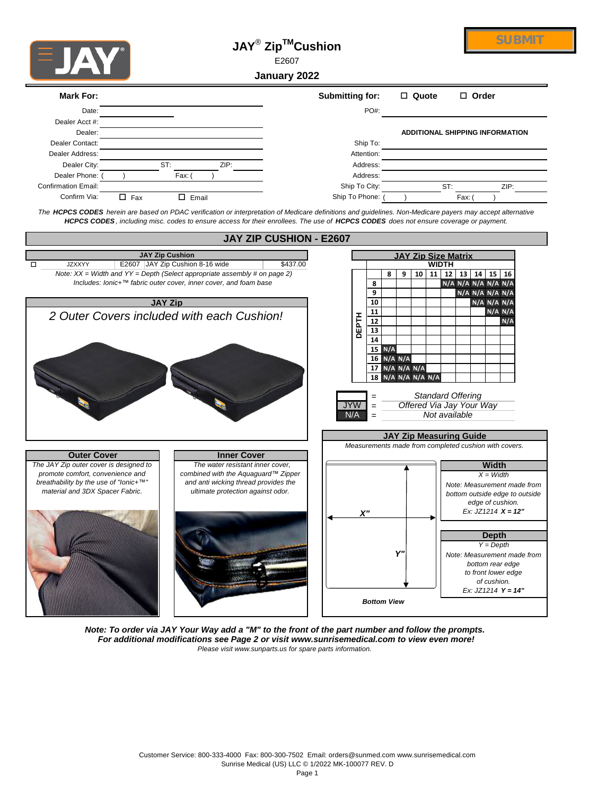

## **JAY**®  **ZipTMCushion**



E2607

**January 2022**

| Mark For:           |            |            |      | <b>Submitting for:</b>                                                                                                                                                                                                                                                                                            | $\Box$ Quote | $\Box$ Order                           |
|---------------------|------------|------------|------|-------------------------------------------------------------------------------------------------------------------------------------------------------------------------------------------------------------------------------------------------------------------------------------------------------------------|--------------|----------------------------------------|
| Date:               |            |            |      | PO#:                                                                                                                                                                                                                                                                                                              |              |                                        |
| Dealer Acct #:      |            |            |      |                                                                                                                                                                                                                                                                                                                   |              |                                        |
| Dealer:             |            |            |      |                                                                                                                                                                                                                                                                                                                   |              | <b>ADDITIONAL SHIPPING INFORMATION</b> |
| Dealer Contact:     |            |            |      | Ship To:                                                                                                                                                                                                                                                                                                          |              |                                        |
| Dealer Address:     |            |            |      | Attention:                                                                                                                                                                                                                                                                                                        |              |                                        |
| Dealer City:        |            | ST:        | ZIP: | Address:                                                                                                                                                                                                                                                                                                          |              |                                        |
| Dealer Phone:       |            | Fax: I     |      | Address:                                                                                                                                                                                                                                                                                                          |              |                                        |
| Confirmation Email: |            |            |      | Ship To City:                                                                                                                                                                                                                                                                                                     |              | ST:<br>ZIP:                            |
| Confirm Via:        | $\Box$ Fax | Email<br>П |      | Ship To Phone:                                                                                                                                                                                                                                                                                                    |              | Fax:                                   |
|                     |            |            |      | The HCPCS CODES herein are based on PDAC verification or interpretation of Medicare definitions and guidelines. Non-Medicare payers may accept alternative<br><b>HCPCS CODES</b> , including misc. codes to ensure access for their enrollees. The use of <b>HCPCS CODES</b> does not ensure coverage or payment. |              |                                        |



*Please visit www.sunparts.us for spare parts information. Note: To order via JAY Your Way add a "M" to the front of the part number and follow the prompts. For additional modifications see Page 2 or visit www.sunrisemedical.com to view even more!*